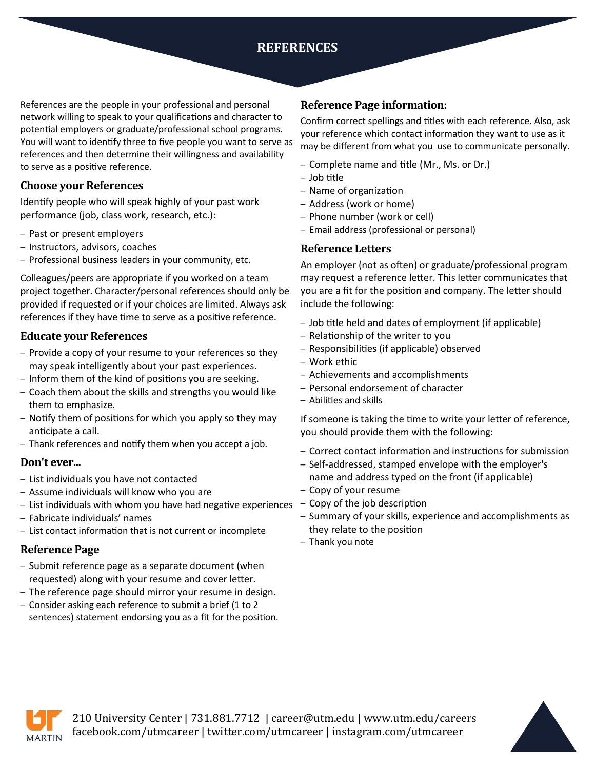# **REFERENCES**

References are the people in your professional and personal network willing to speak to your qualifications and character to potential employers or graduate/professional school programs. You will want to identify three to five people you want to serve as references and then determine their willingness and availability to serve as a positive reference.

# **Choose your References**

Identify people who will speak highly of your past work performance (job, class work, research, etc.):

- Past or present employers
- Instructors, advisors, coaches
- Professional business leaders in your community, etc.

Colleagues/peers are appropriate if you worked on a team project together. Character/personal references should only be provided if requested or if your choices are limited. Always ask references if they have time to serve as a positive reference.

# **Educate your References**

- Provide a copy of your resume to your references so they may speak intelligently about your past experiences.
- Inform them of the kind of positions you are seeking.
- Coach them about the skills and strengths you would like them to emphasize.
- Notify them of positions for which you apply so they may anticipate a call.
- Thank references and notify them when you accept a job.

### **Don't ever...**

- List individuals you have not contacted
- Assume individuals will know who you are
- List individuals with whom you have had negative experiences
- Fabricate individuals' names
- List contact information that is not current or incomplete

# **Reference Page**

- Submit reference page as a separate document (when requested) along with your resume and cover letter.
- The reference page should mirror your resume in design.
- Consider asking each reference to submit a brief (1 to 2 sentences) statement endorsing you as a fit for the position.

# **Reference Page information:**

Confirm correct spellings and titles with each reference. Also, ask your reference which contact information they want to use as it may be different from what you use to communicate personally.

- Complete name and title (Mr., Ms. or Dr.)
- Job title
- Name of organization
- Address (work or home)
- Phone number (work or cell)
- Email address (professional or personal)

# **Reference Letters**

An employer (not as often) or graduate/professional program may request a reference letter. This letter communicates that you are a fit for the position and company. The letter should include the following:

- Job title held and dates of employment (if applicable)
- Relationship of the writer to you
- Responsibilities (if applicable) observed
- Work ethic
- Achievements and accomplishments
- Personal endorsement of character
- Abilities and skills

If someone is taking the time to write your letter of reference, you should provide them with the following:

- Correct contact information and instructions for submission
- Self-addressed, stamped envelope with the employer's name and address typed on the front (if applicable)
- Copy of your resume
- Copy of the job description
- Summary of your skills, experience and accomplishments as they relate to the position
- Thank you note